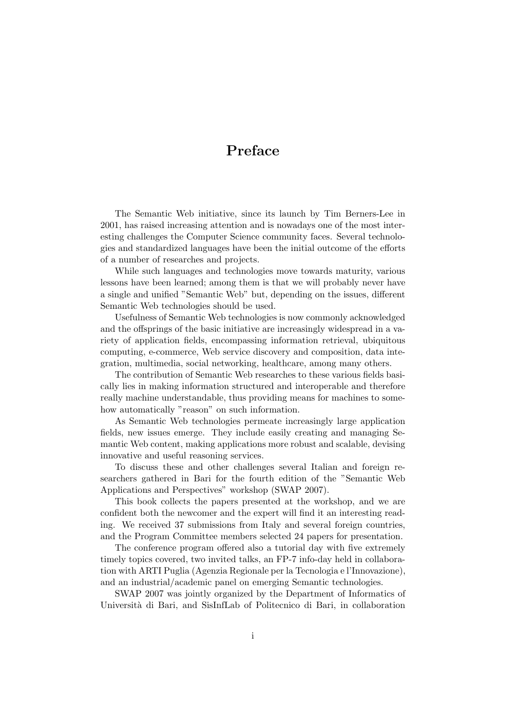## **Preface**

The Semantic Web initiative, since its launch by Tim Berners-Lee in 2001, has raised increasing attention and is nowadays one of the most interesting challenges the Computer Science community faces. Several technologies and standardized languages have been the initial outcome of the efforts of a number of researches and projects.

While such languages and technologies move towards maturity, various lessons have been learned; among them is that we will probably never have a single and unified "Semantic Web" but, depending on the issues, different Semantic Web technologies should be used.

Usefulness of Semantic Web technologies is now commonly acknowledged and the offsprings of the basic initiative are increasingly widespread in a variety of application fields, encompassing information retrieval, ubiquitous computing, e-commerce, Web service discovery and composition, data integration, multimedia, social networking, healthcare, among many others.

The contribution of Semantic Web researches to these various fields basically lies in making information structured and interoperable and therefore really machine understandable, thus providing means for machines to somehow automatically "reason" on such information.

As Semantic Web technologies permeate increasingly large application fields, new issues emerge. They include easily creating and managing Semantic Web content, making applications more robust and scalable, devising innovative and useful reasoning services.

To discuss these and other challenges several Italian and foreign researchers gathered in Bari for the fourth edition of the "Semantic Web Applications and Perspectives" workshop (SWAP 2007).

This book collects the papers presented at the workshop, and we are confident both the newcomer and the expert will find it an interesting reading. We received 37 submissions from Italy and several foreign countries, and the Program Committee members selected 24 papers for presentation.

The conference program offered also a tutorial day with five extremely timely topics covered, two invited talks, an FP-7 info-day held in collaboration with ARTI Puglia (Agenzia Regionale per la Tecnologia e l'Innovazione), and an industrial/academic panel on emerging Semantic technologies.

SWAP 2007 was jointly organized by the Department of Informatics of Università di Bari, and SisInfLab of Politecnico di Bari, in collaboration